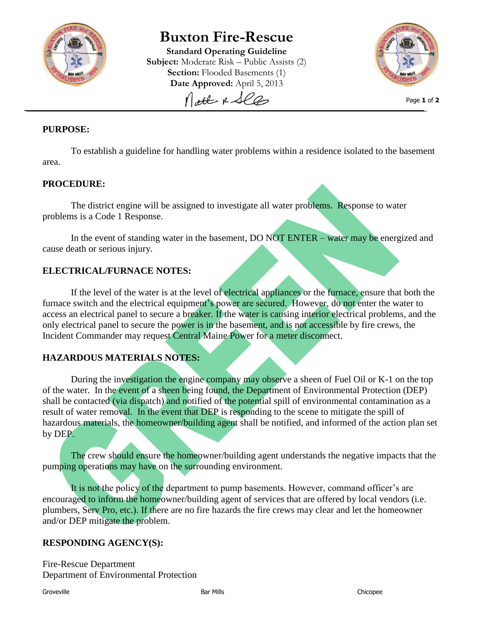

# **Buxton Fire-Rescue**

**Standard Operating Guideline Subject:** Moderate Risk – Public Assists (2) **Section:** Flooded Basements (1) **Date Approved:** April 5, 2013 Nott & See



Page **1** of **2**

### **PURPOSE:**

To establish a guideline for handling water problems within a residence isolated to the basement area.

#### **PROCEDURE:**

The district engine will be assigned to investigate all water problems. Response to water problems is a Code 1 Response.

In the event of standing water in the basement, DO NOT ENTER – water may be energized and cause death or serious injury.

#### **ELECTRICAL/FURNACE NOTES:**

If the level of the water is at the level of electrical appliances or the furnace, ensure that both the furnace switch and the electrical equipment's power are secured. However, do not enter the water to access an electrical panel to secure a breaker. If the water is causing interior electrical problems, and the only electrical panel to secure the power is in the basement, and is not accessible by fire crews, the Incident Commander may request Central Maine Power for a meter disconnect.

#### **HAZARDOUS MATERIALS NOTES:**

During the investigation the engine company may observe a sheen of Fuel Oil or K-1 on the top of the water. In the event of a sheen being found, the Department of Environmental Protection (DEP) shall be contacted (via dispatch) and notified of the potential spill of environmental contamination as a result of water removal. In the event that DEP is responding to the scene to mitigate the spill of hazardous materials, the homeowner/building agent shall be notified, and informed of the action plan set by DEP.

The crew should ensure the homeowner/building agent understands the negative impacts that the pumping operations may have on the surrounding environment.

It is not the policy of the department to pump basements. However, command officer's are encouraged to inform the homeowner/building agent of services that are offered by local vendors (i.e. plumbers, Serv Pro, etc.). If there are no fire hazards the fire crews may clear and let the homeowner and/or DEP mitigate the problem.

#### **RESPONDING AGENCY(S):**

Fire-Rescue Department Department of Environmental Protection